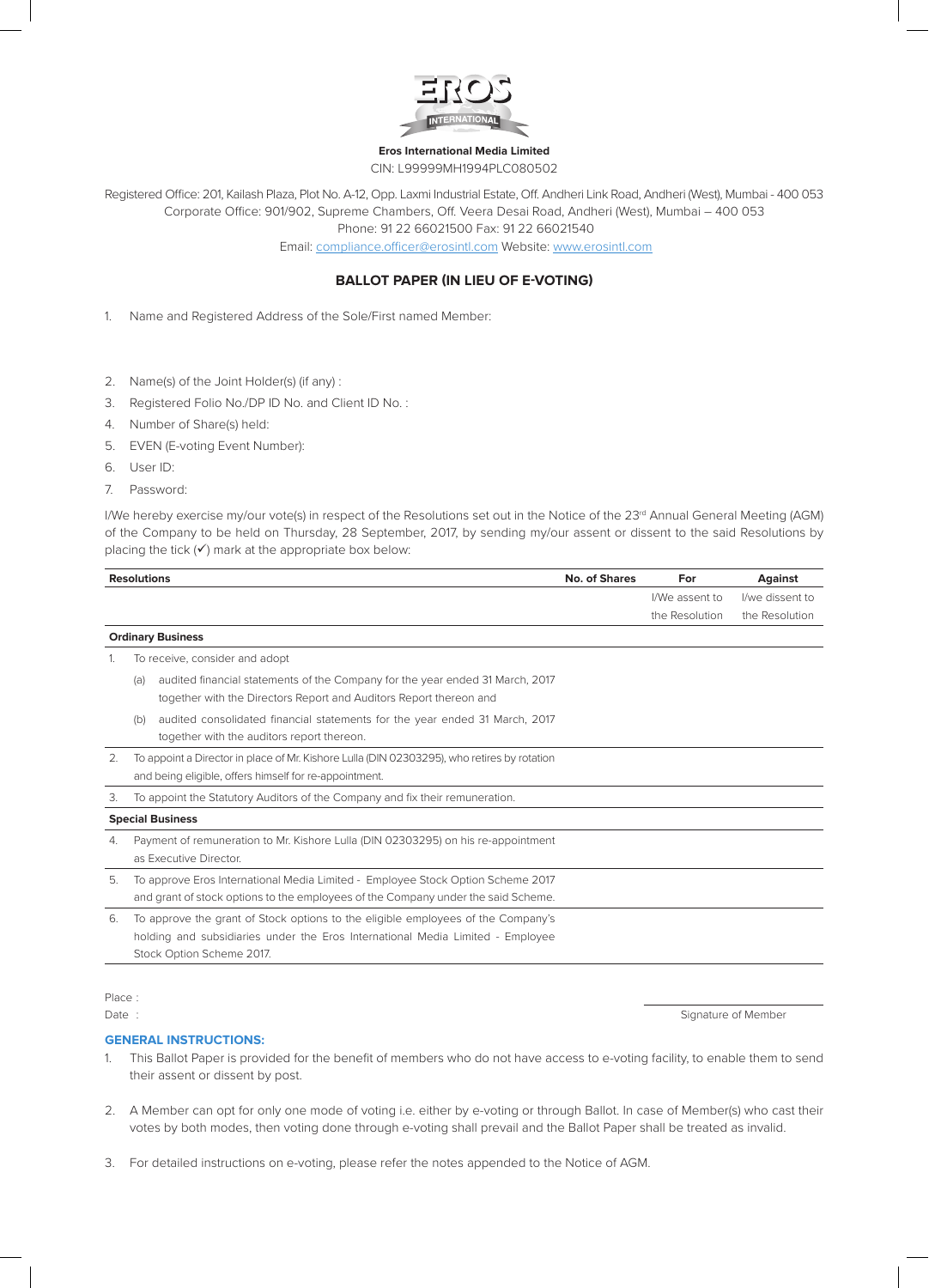

#### **Eros International Media Limited** CIN: L99999MH1994PLC080502

Registered Office: 201, Kailash Plaza, Plot No. A-12, Opp. Laxmi Industrial Estate, Off. Andheri Link Road, Andheri (West), Mumbai - 400 053 Corporate Office: 901/902, Supreme Chambers, Off. Veera Desai Road, Andheri (West), Mumbai – 400 053 Phone: 91 22 66021500 Fax: 91 22 66021540

Email: compliance.officer@erosintl.com Website: www.erosintl.com

## **BALLOT PAPER (IN LIEU OF E-VOTING)**

1. Name and Registered Address of the Sole/First named Member:

- 2. Name(s) of the Joint Holder(s) (if any) :
- 3. Registered Folio No./DP ID No. and Client ID No. :
- 4. Number of Share(s) held:
- 5. EVEN (E-voting Event Number):
- 6. User ID:
- 7. Password:

I/We hereby exercise my/our vote(s) in respect of the Resolutions set out in the Notice of the 23<sup>rd</sup> Annual General Meeting (AGM) of the Company to be held on Thursday, 28 September, 2017, by sending my/our assent or dissent to the said Resolutions by placing the tick  $(V)$  mark at the appropriate box below:

| <b>Resolutions</b> |                                                                                                                                                                      |                                                                                                                                                                                                 | No. of Shares | For            | <b>Against</b>  |
|--------------------|----------------------------------------------------------------------------------------------------------------------------------------------------------------------|-------------------------------------------------------------------------------------------------------------------------------------------------------------------------------------------------|---------------|----------------|-----------------|
|                    |                                                                                                                                                                      |                                                                                                                                                                                                 |               | I/We assent to | I/we dissent to |
|                    |                                                                                                                                                                      |                                                                                                                                                                                                 |               | the Resolution | the Resolution  |
|                    |                                                                                                                                                                      | <b>Ordinary Business</b>                                                                                                                                                                        |               |                |                 |
| 1.                 | To receive, consider and adopt                                                                                                                                       |                                                                                                                                                                                                 |               |                |                 |
|                    | (a)                                                                                                                                                                  | audited financial statements of the Company for the year ended 31 March, 2017<br>together with the Directors Report and Auditors Report thereon and                                             |               |                |                 |
|                    | (b)                                                                                                                                                                  | audited consolidated financial statements for the year ended 31 March, 2017<br>together with the auditors report thereon.                                                                       |               |                |                 |
| 2.                 | To appoint a Director in place of Mr. Kishore Lulla (DIN 02303295), who retires by rotation<br>and being eligible, offers himself for re-appointment.                |                                                                                                                                                                                                 |               |                |                 |
| З.                 |                                                                                                                                                                      | To appoint the Statutory Auditors of the Company and fix their remuneration.                                                                                                                    |               |                |                 |
|                    |                                                                                                                                                                      | <b>Special Business</b>                                                                                                                                                                         |               |                |                 |
| 4.                 | Payment of remuneration to Mr. Kishore Lulla (DIN 02303295) on his re-appointment<br>as Executive Director.                                                          |                                                                                                                                                                                                 |               |                |                 |
| 5.                 | To approve Eros International Media Limited - Employee Stock Option Scheme 2017<br>and grant of stock options to the employees of the Company under the said Scheme. |                                                                                                                                                                                                 |               |                |                 |
| 6.                 |                                                                                                                                                                      | To approve the grant of Stock options to the eligible employees of the Company's<br>holding and subsidiaries under the Eros International Media Limited - Employee<br>Stock Option Scheme 2017. |               |                |                 |
|                    |                                                                                                                                                                      |                                                                                                                                                                                                 |               |                |                 |

# Place :

Date : Signature of Member

### **GENERAL INSTRUCTIONS:**

- 1. This Ballot Paper is provided for the benefit of members who do not have access to e-voting facility, to enable them to send their assent or dissent by post.
- 2. A Member can opt for only one mode of voting i.e. either by e-voting or through Ballot. In case of Member(s) who cast their votes by both modes, then voting done through e-voting shall prevail and the Ballot Paper shall be treated as invalid.
- 3. For detailed instructions on e-voting, please refer the notes appended to the Notice of AGM.